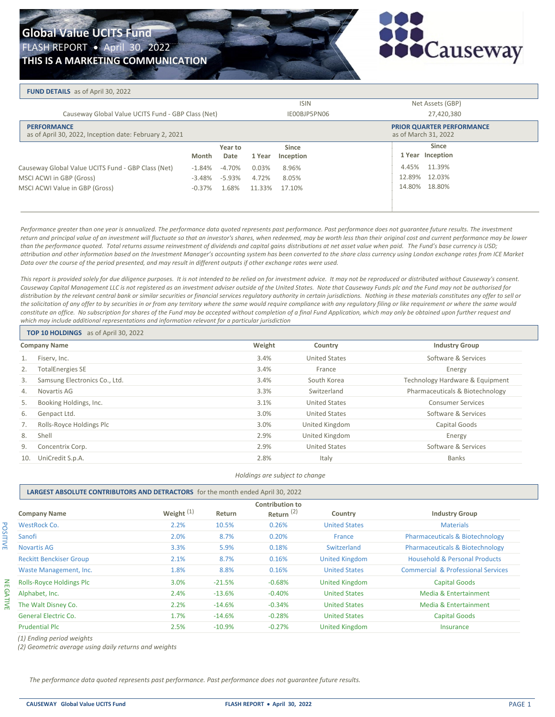

#### **FUND DETAILS** as of April 30, 2022

|                                                    |                                                                              |           |                            |        | <b>ISIN</b>                                              | Net Assets (GBP) |
|----------------------------------------------------|------------------------------------------------------------------------------|-----------|----------------------------|--------|----------------------------------------------------------|------------------|
| Causeway Global Value UCITS Fund - GBP Class (Net) |                                                                              |           | IE00BJP5PN06<br>27,420,380 |        |                                                          |                  |
|                                                    | <b>PERFORMANCE</b><br>as of April 30, 2022, Inception date: February 2, 2021 |           |                            |        | <b>PRIOR QUARTER PERFORMANCE</b><br>as of March 31, 2022 |                  |
|                                                    |                                                                              |           | Year to                    |        | <b>Since</b>                                             | <b>Since</b>     |
|                                                    |                                                                              | Month     | Date                       | 1 Year | Inception                                                | 1 Year Inception |
|                                                    | Causeway Global Value UCITS Fund - GBP Class (Net)                           | $-1.84\%$ | $-4.70%$                   | 0.03%  | 8.96%                                                    | 4.45% 11.39%     |
|                                                    | MSCI ACWI in GBP (Gross)                                                     | $-3.48\%$ | -5.93%                     | 4.72%  | 8.05%                                                    | 12.89% 12.03%    |
|                                                    | MSCI ACWI Value in GBP (Gross)                                               | $-0.37%$  | 1.68%                      | 11.33% | 17.10%                                                   | 14.80% 18.80%    |
|                                                    |                                                                              |           |                            |        |                                                          |                  |
|                                                    |                                                                              |           |                            |        |                                                          |                  |

*Performance greater than one year is annualized. The performance data quoted represents past performance. Past performance does not guarantee future results. The investment*  return and principal value of an investment will fluctuate so that an investor's shares, when redeemed, may be worth less than their original cost and current performance may be lower than the performance quoted. Total returns assume reinvestment of dividends and capital gains distributions at net asset value when paid. The Fund's base currency is USD; attribution and other information based on the Investment Manager's accounting system has been converted to the share class currency using London exchange rates from ICE Market *Data over the course of the period presented, and may result in different outputs if other exchange rates were used.*

*This report is provided solely for due diligence purposes. It is not intended to be relied on for investment advice. It may not be reproduced or distributed without Causeway's consent. Causeway Capital Management LLC is not registered as an investment adviser outside of the United States. Note that Causeway Funds plc and the Fund may not be authorised for distribution by the relevant central bank or similar securities or financial services regulatory authority in certain jurisdictions. Nothing in these materials constitutes any offer to sell or*  the solicitation of any offer to by securities in or from any territory where the same would require compliance with any regulatory filing or like requirement or where the same would *constitute an office. No subscription for shares of the Fund may be accepted without completion of a final Fund Application, which may only be obtained upon further request and which may include additional representations and information relevant for a particular jurisdiction*

| <b>TOP 10 HOLDINGS</b> as of April 30, 2022 |        |                      |                                 |
|---------------------------------------------|--------|----------------------|---------------------------------|
| <b>Company Name</b>                         | Weight | Country              | <b>Industry Group</b>           |
| Fiserv, Inc.<br>1.                          | 3.4%   | United States        | Software & Services             |
| 2.<br><b>TotalEnergies SE</b>               | 3.4%   | France               | Energy                          |
| Samsung Electronics Co., Ltd.<br>3.         | 3.4%   | South Korea          | Technology Hardware & Equipment |
| Novartis AG<br>4.                           | 3.3%   | Switzerland          | Pharmaceuticals & Biotechnology |
| 5.<br>Booking Holdings, Inc.                | 3.1%   | <b>United States</b> | <b>Consumer Services</b>        |
| 6.<br>Genpact Ltd.                          | 3.0%   | <b>United States</b> | Software & Services             |
| Rolls-Royce Holdings Plc                    | 3.0%   | United Kingdom       | Capital Goods                   |
| 8.<br>Shell                                 | 2.9%   | United Kingdom       | Energy                          |
| 9.<br>Concentrix Corp.                      | 2.9%   | <b>United States</b> | Software & Services             |
| UniCredit S.p.A.<br>10.                     | 2.8%   | Italy                | <b>Banks</b>                    |

*Holdings are subject to change*

### **LARGEST ABSOLUTE CONTRIBUTORS AND DETRACTORS** for the month ended April 30, 2022

| <b>Company Name</b>             | Weight $(1)$ | Return   | <b>Contribution to</b><br>Return <sup>(2)</sup> | Country               | <b>Industry Group</b>                         |
|---------------------------------|--------------|----------|-------------------------------------------------|-----------------------|-----------------------------------------------|
| <b>WestRock Co.</b>             | 2.2%         | 10.5%    | 0.26%                                           | <b>United States</b>  | <b>Materials</b>                              |
| Sanofi                          | 2.0%         | 8.7%     | 0.20%                                           | France                | <b>Pharmaceuticals &amp; Biotechnology</b>    |
| <b>Novartis AG</b>              | 3.3%         | 5.9%     | 0.18%                                           | Switzerland           | <b>Pharmaceuticals &amp; Biotechnology</b>    |
| <b>Reckitt Benckiser Group</b>  | 2.1%         | 8.7%     | 0.16%                                           | <b>United Kingdom</b> | <b>Household &amp; Personal Products</b>      |
| Waste Management, Inc.          | 1.8%         | 8.8%     | 0.16%                                           | <b>United States</b>  | <b>Commercial &amp; Professional Services</b> |
| <b>Rolls-Royce Holdings Plc</b> | 3.0%         | $-21.5%$ | $-0.68%$                                        | <b>United Kingdom</b> | <b>Capital Goods</b>                          |
| Alphabet, Inc.                  | 2.4%         | $-13.6%$ | $-0.40%$                                        | <b>United States</b>  | Media & Entertainment                         |
| The Walt Disney Co.             | 2.2%         | $-14.6%$ | $-0.34%$                                        | <b>United States</b>  | Media & Entertainment                         |
| <b>General Electric Co.</b>     | 1.7%         | $-14.6%$ | $-0.28%$                                        | <b>United States</b>  | <b>Capital Goods</b>                          |
| <b>Prudential Plc</b>           | 2.5%         | $-10.9%$ | $-0.27%$                                        | <b>United Kingdom</b> | Insurance                                     |
|                                 |              |          |                                                 |                       |                                               |

*(1) Ending period weights*

*(2) Geometric average using daily returns and weights*

*The performance data quoted represents past performance. Past performance does not guarantee future results.*

POSITIVE

**POSITIVE**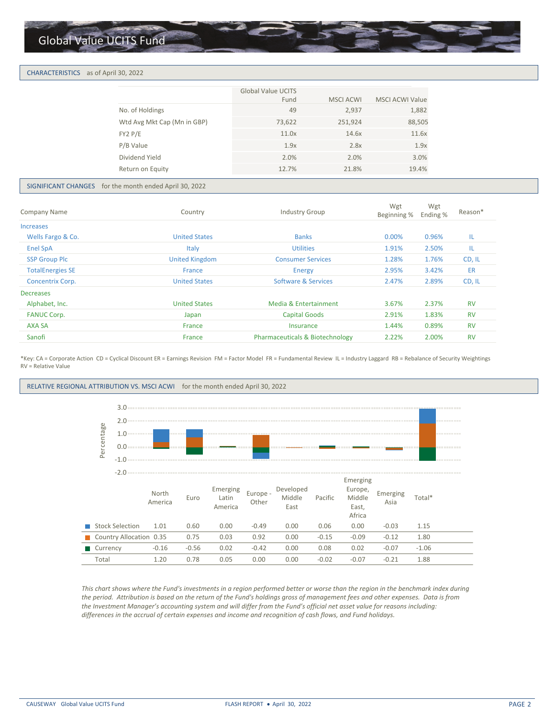## Global Value UCITS Fund

#### CHARACTERISTICS as of April 30, 2022

| <b>Global Value UCITS</b><br>Fund<br><b>MSCI ACWI</b><br>49<br>No. of Holdings<br>2,937<br>Wtd Avg Mkt Cap (Mn in GBP)<br>251,924<br>73,622<br>FY2 P/E<br>11.0x<br>14.6x<br>P/B Value<br>2.8x<br>1.9x<br>Dividend Yield<br>2.0%<br>2.0%<br>12.7%<br>21.8%<br>Return on Equity |  |                        |
|-------------------------------------------------------------------------------------------------------------------------------------------------------------------------------------------------------------------------------------------------------------------------------|--|------------------------|
|                                                                                                                                                                                                                                                                               |  | <b>MSCI ACWI Value</b> |
|                                                                                                                                                                                                                                                                               |  | 1,882                  |
|                                                                                                                                                                                                                                                                               |  | 88,505                 |
|                                                                                                                                                                                                                                                                               |  | 11.6x                  |
|                                                                                                                                                                                                                                                                               |  | 1.9x                   |
|                                                                                                                                                                                                                                                                               |  | 3.0%                   |
|                                                                                                                                                                                                                                                                               |  | 19.4%                  |

#### SIGNIFICANT CHANGES for the month ended April 30, 2022

| Company Name            | Country               | <b>Industry Group</b>                      | Wgt<br>Beginning % | Wgt<br>Ending % | Reason <sup>*</sup> |  |
|-------------------------|-----------------------|--------------------------------------------|--------------------|-----------------|---------------------|--|
| <b>Increases</b>        |                       |                                            |                    |                 |                     |  |
| Wells Fargo & Co.       | <b>United States</b>  | <b>Banks</b>                               | 0.00%              | 0.96%           | ΙL                  |  |
| <b>Enel SpA</b>         | Italy                 | <b>Utilities</b>                           | 1.91%              | 2.50%           | IL                  |  |
| <b>SSP Group Plc</b>    | <b>United Kingdom</b> | <b>Consumer Services</b>                   | 1.28%              | 1.76%           | CD, IL              |  |
| <b>TotalEnergies SE</b> | France                | Energy                                     | 2.95%              | 3.42%           | ER                  |  |
| <b>Concentrix Corp.</b> | <b>United States</b>  | Software & Services                        | 2.47%              | 2.89%           | CD, IL              |  |
| <b>Decreases</b>        |                       |                                            |                    |                 |                     |  |
| Alphabet, Inc.          | <b>United States</b>  | Media & Entertainment                      | 3.67%              | 2.37%           | <b>RV</b>           |  |
| <b>FANUC Corp.</b>      | Japan                 | <b>Capital Goods</b>                       | 2.91%              | 1.83%           | <b>RV</b>           |  |
| AXA SA                  | France                | Insurance                                  | 1.44%              | 0.89%           | <b>RV</b>           |  |
| Sanofi                  | France                | <b>Pharmaceuticals &amp; Biotechnology</b> | 2.22%              | 2.00%           | <b>RV</b>           |  |

\*Key: CA = Corporate Action CD = Cyclical Discount ER = Earnings Revision FM = Factor Model FR = Fundamental Review IL = Industry Laggard RB = Rebalance of Security Weightings RV = Relative Value





*This chart shows where the Fund's investments in a region performed better or worse than the region in the benchmark index during the period. Attribution is based on the return of the Fund's holdings gross of management fees and other expenses. Data is from the Investment Manager's accounting system and will differ from the Fund's official net asset value for reasons including: differences in the accrual of certain expenses and income and recognition of cash flows, and Fund holidays.*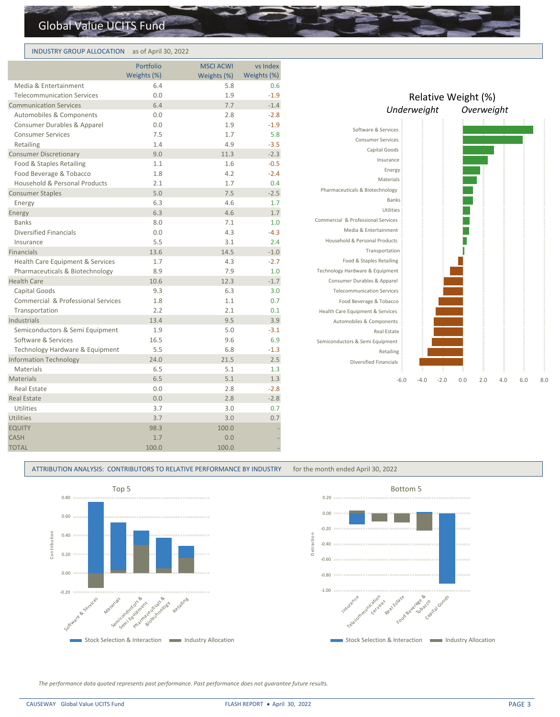# Global Value UCITS Fund

## INDUSTRY GROUP ALLOCATION as of April 30, 2022

| Weights (%)                        |      |             |             |
|------------------------------------|------|-------------|-------------|
|                                    |      | Weights (%) | Weights (%) |
| Media & Entertainment              | 6.4  | 5.8         | 0.6         |
| <b>Telecommunication Services</b>  | 0.0  | 1.9         | $-1.9$      |
| <b>Communication Services</b>      | 6.4  | 7.7         | $-1.4$      |
| Automobiles & Components           | 0.0  | 2.8         | $-2.8$      |
| Consumer Durables & Apparel        | 0.0  | 1.9         | $-1.9$      |
| <b>Consumer Services</b>           | 7.5  | 1.7         | 5.8         |
| Retailing                          | 1.4  | 4.9         | $-3.5$      |
| <b>Consumer Discretionary</b>      | 9.0  | 11.3        | $-2.3$      |
| Food & Staples Retailing           | 1.1  | 1.6         | $-0.5$      |
| Food Beverage & Tobacco            | 1.8  | 4.2         | $-2.4$      |
| Household & Personal Products      | 2.1  | 1.7         | 0.4         |
| <b>Consumer Staples</b>            | 5.0  | 7.5         | $-2.5$      |
| Energy                             | 6.3  | 4.6         | 1.7         |
| Energy                             | 6.3  | 4.6         | 1.7         |
| <b>Banks</b>                       | 8.0  | 7.1         | 1.0         |
| <b>Diversified Financials</b>      | 0.0  | 4.3         | $-4.3$      |
| Insurance                          | 5.5  | 3.1         | 2.4         |
| <b>Financials</b>                  | 13.6 | 14.5        | $-1.0$      |
| Health Care Equipment & Services   | 1.7  | 4.3         | $-2.7$      |
| Pharmaceuticals & Biotechnology    | 8.9  | 7.9         | 1.0         |
| <b>Health Care</b>                 | 10.6 | 12.3        | $-1.7$      |
| Capital Goods                      | 9.3  | 6.3         | 3.0         |
| Commercial & Professional Services | 1.8  | 1.1         | 0.7         |
| Transportation                     | 2.2  | 2.1         | 0.1         |
| Industrials                        | 13.4 | 9.5         | 3.9         |
| Semiconductors & Semi Equipment    | 1.9  | 5.0         | $-3.1$      |
| Software & Services                | 16.5 | 9.6         | 6.9         |
| Technology Hardware & Equipment    | 5.5  | 6.8         | $-1.3$      |
| <b>Information Technology</b>      | 24.0 | 21.5        | 2.5         |
| Materials                          | 6.5  | 5.1         | 1.3         |
| <b>Materials</b>                   | 6.5  | 5.1         | 1.3         |
| Real Estate                        | 0.0  | 2.8         | $-2.8$      |
| <b>Real Estate</b>                 | 0.0  | 2.8         | $-2.8$      |
| Utilities                          | 3.7  | 3.0         | 0.7         |
| <b>Utilities</b>                   | 3.7  | 3.0         | 0.7         |
| <b>EQUITY</b>                      | 98.3 | 100.0       |             |
| <b>CASH</b>                        | 1.7  | 0.0         |             |
| 100.0<br><b>TOTAL</b>              |      | 100.0       |             |

|                                                 | Relative Weight (%) |        |     |            |     |     |     |
|-------------------------------------------------|---------------------|--------|-----|------------|-----|-----|-----|
|                                                 | Underweight         |        |     | Overweight |     |     |     |
|                                                 |                     |        |     |            |     |     |     |
| Software & Services                             |                     |        |     |            |     |     |     |
| <b>Consumer Services</b>                        |                     |        |     |            |     |     |     |
| Capital Goods                                   |                     |        |     |            |     |     |     |
| Insurance                                       |                     |        |     |            |     |     |     |
| Energy                                          |                     |        |     |            |     |     |     |
| Materials                                       |                     |        |     |            |     |     |     |
| Pharmaceuticals & Biotechnology                 |                     |        |     |            |     |     |     |
| <b>Banks</b>                                    |                     |        |     |            |     |     |     |
| Utilities<br>Commercial & Professional Services |                     |        |     |            |     |     |     |
|                                                 |                     |        |     |            |     |     |     |
| Media & Entertainment                           |                     |        |     |            |     |     |     |
| Household & Personal Products                   |                     |        |     |            |     |     |     |
| Transportation                                  |                     |        |     |            |     |     |     |
| Food & Staples Retailing                        |                     |        |     |            |     |     |     |
| Technology Hardware & Equipment                 |                     |        |     |            |     |     |     |
| Consumer Durables & Apparel                     |                     |        |     |            |     |     |     |
| <b>Telecommunication Services</b>               |                     |        |     |            |     |     |     |
| Food Beverage & Tobacco                         |                     |        |     |            |     |     |     |
| Health Care Equipment & Services                |                     |        |     |            |     |     |     |
| Automobiles & Components                        |                     |        |     |            |     |     |     |
| <b>Real Estate</b>                              |                     |        |     |            |     |     |     |
| Semiconductors & Semi Equipment                 |                     |        |     |            |     |     |     |
| Retailing                                       |                     |        |     |            |     |     |     |
| <b>Diversified Financials</b>                   |                     |        |     |            |     |     |     |
| $-6.0$                                          | $-4.0$              | $-2.0$ | 0.0 | 2.0        | 4.0 | 6.0 | 8.0 |

ATTRIBUTION ANALYSIS: CONTRIBUTORS TO RELATIVE PERFORMANCE BY INDUSTRY for the month ended April 30, 2022





*The performance data quoted represents past performance. Past performance does not guarantee future results.*

#### CAUSEWAY Global Value UCITS Fund FLASH REPORT + April 30, 2022 PAGE 3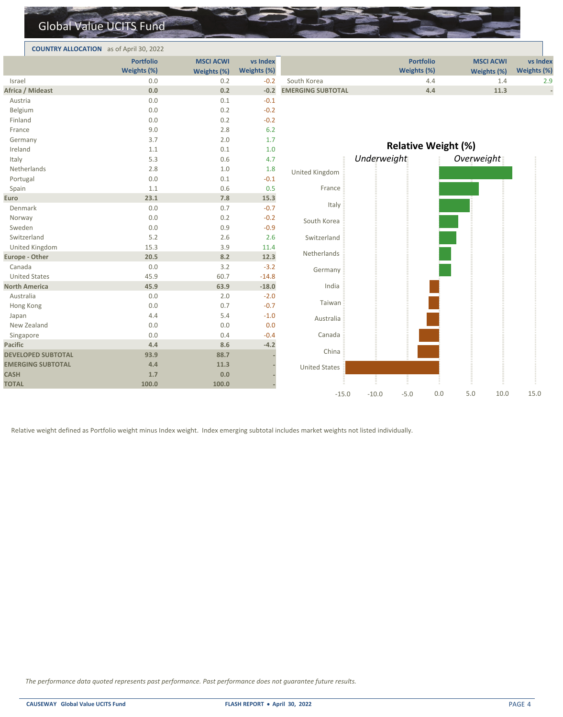|                           | <b>Global Value UCITS Fund</b>                 |                                 |                         |                          |                                 |                                 |                         |
|---------------------------|------------------------------------------------|---------------------------------|-------------------------|--------------------------|---------------------------------|---------------------------------|-------------------------|
|                           | <b>COUNTRY ALLOCATION</b> as of April 30, 2022 |                                 |                         |                          |                                 |                                 |                         |
|                           | <b>Portfolio</b><br>Weights (%)                | <b>MSCI ACWI</b><br>Weights (%) | vs Index<br>Weights (%) |                          | <b>Portfolio</b><br>Weights (%) | <b>MSCI ACWI</b><br>Weights (%) | vs Index<br>Weights (%) |
| Israel                    | 0.0                                            | 0.2                             | $-0.2$                  | South Korea              | 4.4                             | 1.4                             | 2.9                     |
| Africa / Mideast          | 0.0                                            | 0.2                             | $-0.2$                  | <b>EMERGING SUBTOTAL</b> | 4.4                             | 11.3                            |                         |
| Austria                   | 0.0                                            | 0.1                             | $-0.1$                  |                          |                                 |                                 |                         |
| Belgium                   | 0.0                                            | 0.2                             | $-0.2$                  |                          |                                 |                                 |                         |
| Finland                   | 0.0                                            | 0.2                             | $-0.2$                  |                          |                                 |                                 |                         |
| France                    | 9.0                                            | 2.8                             | 6.2                     |                          |                                 |                                 |                         |
| Germany                   | 3.7                                            | 2.0                             | 1.7                     |                          |                                 |                                 |                         |
| Ireland                   | 1.1                                            | 0.1                             | 1.0                     |                          | <b>Relative Weight (%)</b>      |                                 |                         |
| Italy                     | 5.3                                            | 0.6                             | 4.7                     |                          | Underweight                     | Overweight                      |                         |
| Netherlands               | 2.8                                            | $1.0$                           | 1.8                     | United Kingdom           |                                 |                                 |                         |
| Portugal                  | 0.0                                            | 0.1                             | $-0.1$                  |                          |                                 |                                 |                         |
| Spain                     | 1.1                                            | 0.6                             | 0.5                     | France                   |                                 |                                 |                         |
| Euro                      | 23.1                                           | 7.8                             | 15.3                    |                          |                                 |                                 |                         |
| Denmark                   | 0.0                                            | 0.7                             | $-0.7$                  | Italy                    |                                 |                                 |                         |
| Norway                    | 0.0                                            | 0.2                             | $-0.2$                  | South Korea              |                                 |                                 |                         |
| Sweden                    | 0.0                                            | 0.9                             | $-0.9$                  |                          |                                 |                                 |                         |
| Switzerland               | 5.2                                            | 2.6                             | 2.6                     | Switzerland              |                                 |                                 |                         |
| United Kingdom            | 15.3                                           | 3.9                             | 11.4                    |                          |                                 |                                 |                         |
| <b>Europe - Other</b>     | 20.5                                           | 8.2                             | 12.3                    | Netherlands              |                                 |                                 |                         |
| Canada                    | 0.0                                            | 3.2                             | $-3.2$                  | Germany                  |                                 |                                 |                         |
| <b>United States</b>      | 45.9                                           | 60.7                            | $-14.8$                 |                          |                                 |                                 |                         |
| <b>North America</b>      | 45.9                                           | 63.9                            | $-18.0$                 | India                    |                                 |                                 |                         |
| Australia                 | 0.0                                            | 2.0                             | $-2.0$                  |                          |                                 |                                 |                         |
| Hong Kong                 | 0.0                                            | 0.7                             | $-0.7$                  | Taiwan                   |                                 |                                 |                         |
| Japan                     | 4.4                                            | 5.4                             | $-1.0$                  | Australia                |                                 |                                 |                         |
| New Zealand               | 0.0                                            | 0.0                             | 0.0                     |                          |                                 |                                 |                         |
| Singapore                 | 0.0                                            | 0.4                             | $-0.4$                  | Canada                   |                                 |                                 |                         |
| <b>Pacific</b>            | 4.4                                            | 8.6                             | $-4.2$                  |                          |                                 |                                 |                         |
| <b>DEVELOPED SUBTOTAL</b> | 93.9                                           | 88.7                            |                         | China                    |                                 |                                 |                         |
| <b>EMERGING SUBTOTAL</b>  | 4.4                                            | 11.3                            |                         | <b>United States</b>     |                                 |                                 |                         |
| <b>CASH</b>               | 1.7                                            | 0.0                             |                         |                          |                                 |                                 |                         |
| <b>TOTAL</b>              | 100.0                                          | 100.0                           |                         |                          |                                 |                                 |                         |

Relative weight defined as Portfolio weight minus Index weight. Index emerging subtotal includes market weights not listed individually.

*The performance data quoted represents past performance. Past performance does not guarantee future results.*

-15.0 -10.0 -5.0 0.0 5.0 10.0 15.0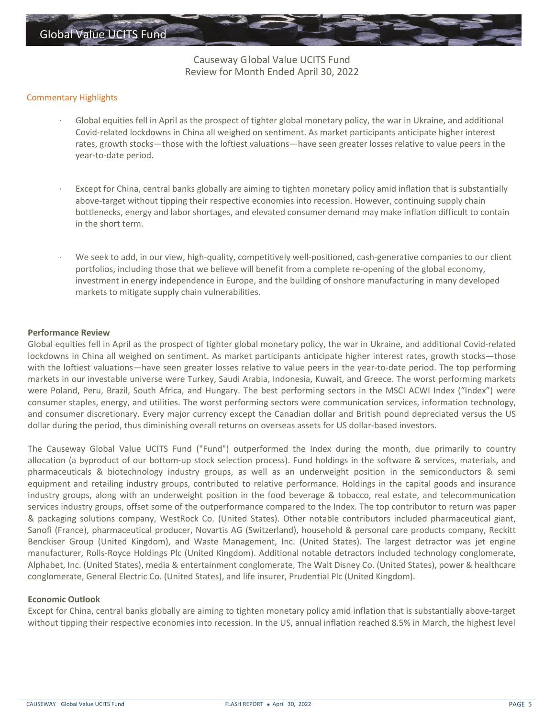Causeway Global Value UCITS Fund Review for Month Ended April 30, 2022

## Commentary Highlights

- Global equities fell in April as the prospect of tighter global monetary policy, the war in Ukraine, and additional Covid-related lockdowns in China all weighed on sentiment. As market participants anticipate higher interest rates, growth stocks—those with the loftiest valuations—have seen greater losses relative to value peers in the year-to-date period.
- Except for China, central banks globally are aiming to tighten monetary policy amid inflation that is substantially above-target without tipping their respective economies into recession. However, continuing supply chain bottlenecks, energy and labor shortages, and elevated consumer demand may make inflation difficult to contain in the short term.
- · We seek to add, in our view, high-quality, competitively well-positioned, cash-generative companies to our client portfolios, including those that we believe will benefit from a complete re-opening of the global economy, investment in energy independence in Europe, and the building of onshore manufacturing in many developed markets to mitigate supply chain vulnerabilities.

## **Performance Review**

Global equities fell in April as the prospect of tighter global monetary policy, the war in Ukraine, and additional Covid-related lockdowns in China all weighed on sentiment. As market participants anticipate higher interest rates, growth stocks—those with the loftiest valuations—have seen greater losses relative to value peers in the year-to-date period. The top performing markets in our investable universe were Turkey, Saudi Arabia, Indonesia, Kuwait, and Greece. The worst performing markets were Poland, Peru, Brazil, South Africa, and Hungary. The best performing sectors in the MSCI ACWI Index ("Index") were consumer staples, energy, and utilities. The worst performing sectors were communication services, information technology, and consumer discretionary. Every major currency except the Canadian dollar and British pound depreciated versus the US dollar during the period, thus diminishing overall returns on overseas assets for US dollar-based investors.

The Causeway Global Value UCITS Fund ("Fund") outperformed the Index during the month, due primarily to country allocation (a byproduct of our bottom-up stock selection process). Fund holdings in the software & services, materials, and pharmaceuticals & biotechnology industry groups, as well as an underweight position in the semiconductors & semi equipment and retailing industry groups, contributed to relative performance. Holdings in the capital goods and insurance industry groups, along with an underweight position in the food beverage & tobacco, real estate, and telecommunication services industry groups, offset some of the outperformance compared to the Index. The top contributor to return was paper & packaging solutions company, WestRock Co. (United States). Other notable contributors included pharmaceutical giant, Sanofi (France), pharmaceutical producer, Novartis AG (Switzerland), household & personal care products company, Reckitt Benckiser Group (United Kingdom), and Waste Management, Inc. (United States). The largest detractor was jet engine manufacturer, Rolls-Royce Holdings Plc (United Kingdom). Additional notable detractors included technology conglomerate, Alphabet, Inc. (United States), media & entertainment conglomerate, The Walt Disney Co. (United States), power & healthcare conglomerate, General Electric Co. (United States), and life insurer, Prudential Plc (United Kingdom).

## **Economic Outlook**

Except for China, central banks globally are aiming to tighten monetary policy amid inflation that is substantially above-target without tipping their respective economies into recession. In the US, annual inflation reached 8.5% in March, the highest level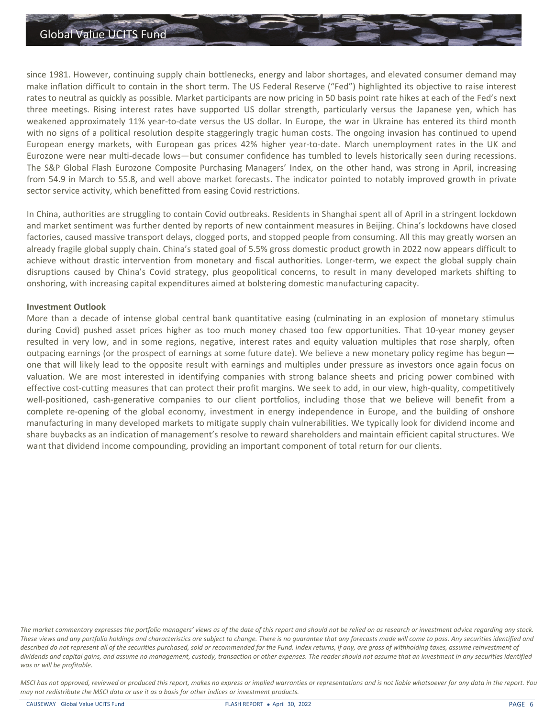

since 1981. However, continuing supply chain bottlenecks, energy and labor shortages, and elevated consumer demand may make inflation difficult to contain in the short term. The US Federal Reserve ("Fed") highlighted its objective to raise interest rates to neutral as quickly as possible. Market participants are now pricing in 50 basis point rate hikes at each of the Fed's next three meetings. Rising interest rates have supported US dollar strength, particularly versus the Japanese yen, which has weakened approximately 11% year-to-date versus the US dollar. In Europe, the war in Ukraine has entered its third month with no signs of a political resolution despite staggeringly tragic human costs. The ongoing invasion has continued to upend European energy markets, with European gas prices 42% higher year-to-date. March unemployment rates in the UK and Eurozone were near multi-decade lows—but consumer confidence has tumbled to levels historically seen during recessions. The S&P Global Flash Eurozone Composite Purchasing Managers' Index, on the other hand, was strong in April, increasing from 54.9 in March to 55.8, and well above market forecasts. The indicator pointed to notably improved growth in private sector service activity, which benefitted from easing Covid restrictions.

In China, authorities are struggling to contain Covid outbreaks. Residents in Shanghai spent all of April in a stringent lockdown and market sentiment was further dented by reports of new containment measures in Beijing. China's lockdowns have closed factories, caused massive transport delays, clogged ports, and stopped people from consuming. All this may greatly worsen an already fragile global supply chain. China's stated goal of 5.5% gross domestic product growth in 2022 now appears difficult to achieve without drastic intervention from monetary and fiscal authorities. Longer-term, we expect the global supply chain disruptions caused by China's Covid strategy, plus geopolitical concerns, to result in many developed markets shifting to onshoring, with increasing capital expenditures aimed at bolstering domestic manufacturing capacity.

## **Investment Outlook**

More than a decade of intense global central bank quantitative easing (culminating in an explosion of monetary stimulus during Covid) pushed asset prices higher as too much money chased too few opportunities. That 10-year money geyser resulted in very low, and in some regions, negative, interest rates and equity valuation multiples that rose sharply, often outpacing earnings (or the prospect of earnings at some future date). We believe a new monetary policy regime has begun one that will likely lead to the opposite result with earnings and multiples under pressure as investors once again focus on valuation. We are most interested in identifying companies with strong balance sheets and pricing power combined with effective cost-cutting measures that can protect their profit margins. We seek to add, in our view, high-quality, competitively well-positioned, cash-generative companies to our client portfolios, including those that we believe will benefit from a complete re-opening of the global economy, investment in energy independence in Europe, and the building of onshore manufacturing in many developed markets to mitigate supply chain vulnerabilities. We typically look for dividend income and share buybacks as an indication of management's resolve to reward shareholders and maintain efficient capital structures. We want that dividend income compounding, providing an important component of total return for our clients.

*The market commentary expresses the portfolio managers' views as of the date of this report and should not be relied on as research or investment advice regarding any stock. These views and any portfolio holdings and characteristics are subject to change. There is no guarantee that any forecasts made will come to pass. Any securities identified and described do not represent all of the securities purchased, sold or recommended for the Fund. Index returns, if any, are gross of withholding taxes, assume reinvestment of dividends and capital gains, and assume no management, custody, transaction or other expenses. The reader should not assume that an investment in any securities identified was or will be profitable.*

*MSCI has not approved, reviewed or produced this report, makes no express or implied warranties or representations and is not liable whatsoever for any data in the report. You may not redistribute the MSCI data or use it as a basis for other indices or investment products.*